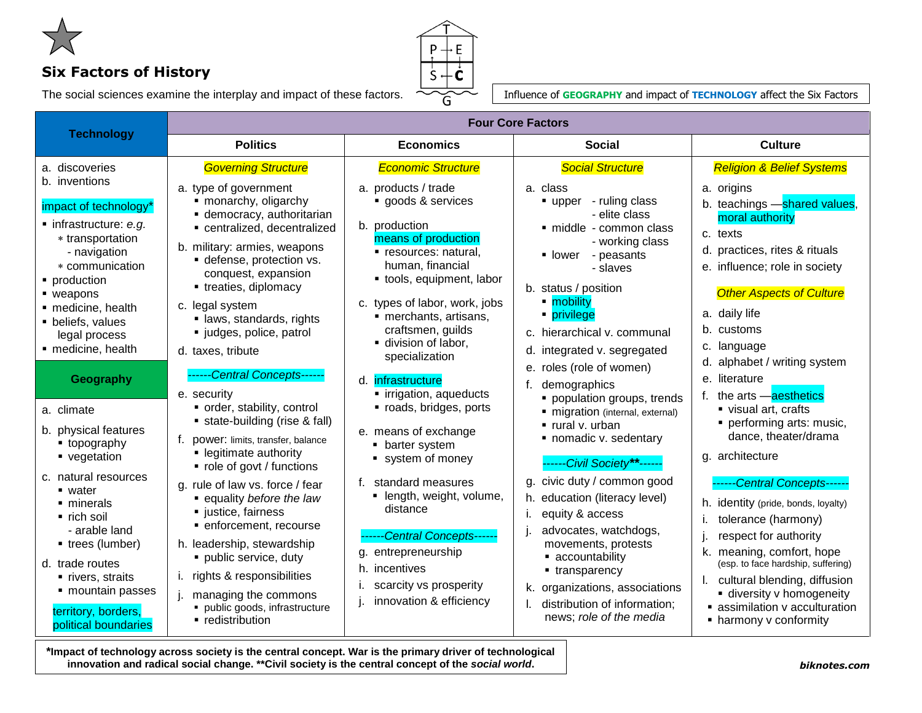

## **Six Factors of History**

The social sciences examine the interplay and impact of these factors.



Influence of **GEOGRAPHY** and impact of **TECHNOLOGY** affect the Six Factors

| <b>Technology</b>                                                                                                                                                                                                                                   | <b>Four Core Factors</b>                                                                                                                                                                                                                                                                                                 |                                                                                                                                                                                                                                                                                   |                                                                                                                                                                                                                                                                          |                                                                                                                                                                                                                                                                                                                        |
|-----------------------------------------------------------------------------------------------------------------------------------------------------------------------------------------------------------------------------------------------------|--------------------------------------------------------------------------------------------------------------------------------------------------------------------------------------------------------------------------------------------------------------------------------------------------------------------------|-----------------------------------------------------------------------------------------------------------------------------------------------------------------------------------------------------------------------------------------------------------------------------------|--------------------------------------------------------------------------------------------------------------------------------------------------------------------------------------------------------------------------------------------------------------------------|------------------------------------------------------------------------------------------------------------------------------------------------------------------------------------------------------------------------------------------------------------------------------------------------------------------------|
|                                                                                                                                                                                                                                                     | <b>Politics</b>                                                                                                                                                                                                                                                                                                          | <b>Economics</b>                                                                                                                                                                                                                                                                  | <b>Social</b>                                                                                                                                                                                                                                                            | <b>Culture</b>                                                                                                                                                                                                                                                                                                         |
| a. discoveries                                                                                                                                                                                                                                      | <b>Governing Structure</b>                                                                                                                                                                                                                                                                                               | <b>Economic Structure</b>                                                                                                                                                                                                                                                         | <b>Social Structure</b>                                                                                                                                                                                                                                                  | <b>Religion &amp; Belief Systems</b>                                                                                                                                                                                                                                                                                   |
| b. inventions<br>impact of technology*<br>$\blacksquare$ infrastructure: e.g.<br>* transportation<br>- navigation<br>* communication<br>• production<br>■ weapons<br>· medicine, health<br>• beliefs, values<br>legal process<br>· medicine, health | a. type of government<br>• monarchy, oligarchy<br>• democracy, authoritarian<br>centralized, decentralized<br>b. military: armies, weapons<br>· defense, protection vs.<br>conquest, expansion<br>• treaties, diplomacy<br>c. legal system<br>· laws, standards, rights<br>· judges, police, patrol<br>d. taxes, tribute | a. products / trade<br>goods & services<br>b. production<br>means of production<br>· resources: natural,<br>human, financial<br>• tools, equipment, labor<br>c. types of labor, work, jobs<br>· merchants, artisans,<br>craftsmen, guilds<br>division of labor,<br>specialization | a. class<br>• upper - ruling class<br>- elite class<br>· middle - common class<br>- working class<br>lower<br>- peasants<br>- slaves<br>b. status / position<br>• mobility<br>privilege<br>c. hierarchical v. communal<br>d. integrated v. segregated                    | a. origins<br>b. teachings - shared values,<br>moral authority<br>c. texts<br>d. practices, rites & rituals<br>e. influence; role in society<br><b>Other Aspects of Culture</b><br>a. daily life<br>b. customs<br>c. language                                                                                          |
| Geography<br>a. climate<br>b. physical features<br>• topography<br>vegetation                                                                                                                                                                       | -Central Concepts-----<br>e. security<br>• order, stability, control<br>• state-building (rise & fall)<br>f. power: limits, transfer, balance<br>• legitimate authority                                                                                                                                                  | d. infrastructure<br>• irrigation, aqueducts<br>· roads, bridges, ports<br>e. means of exchange<br>• barter system<br>system of money                                                                                                                                             | e. roles (role of women)<br>demographics<br>f.<br>• population groups, trends<br>· migration (internal, external)<br>$\blacksquare$ rural v. urban<br>• nomadic v. sedentary<br>------Civil Society**------                                                              | d. alphabet / writing system<br>e. literature<br>f. the arts -aesthetics<br>visual art, crafts<br>performing arts: music,<br>dance, theater/drama<br>g. architecture                                                                                                                                                   |
| c. natural resources<br>■ water<br>$\blacksquare$ minerals<br>$\blacksquare$ rich soil<br>- arable land<br>• trees (lumber)<br>d. trade routes<br>• rivers, straits<br>• mountain passes<br>territory, borders,<br>political boundaries             | • role of govt / functions<br>g. rule of law vs. force / fear<br>equality before the law<br>ustice, fairness<br>· enforcement, recourse<br>h. leadership, stewardship<br>· public service, duty<br>i. rights & responsibilities<br>managing the commons<br>· public goods, infrastructure<br>• redistribution            | f. standard measures<br>· length, weight, volume,<br>distance<br>------Central Concepts------<br>g. entrepreneurship<br>h. incentives<br>scarcity vs prosperity<br>innovation & efficiency                                                                                        | g. civic duty / common good<br>h. education (literacy level)<br>equity & access<br>Ť.<br>advocates, watchdogs,<br>movements, protests<br>• accountability<br>• transparency<br>k. organizations, associations<br>distribution of information;<br>news; role of the media | ------Central Concepts------<br>h. identity (pride, bonds, loyalty)<br>tolerance (harmony)<br>Ĺ.<br>respect for authority<br>k. meaning, comfort, hope<br>(esp. to face hardship, suffering)<br>I. cultural blending, diffusion<br>diversity v homogeneity<br>• assimilation y acculturation<br>• harmony v conformity |

**\*Impact of technology across society is the central concept. War is the primary driver of technological innovation and radical social change. \*\*Civil society is the central concept of the** *social world***.**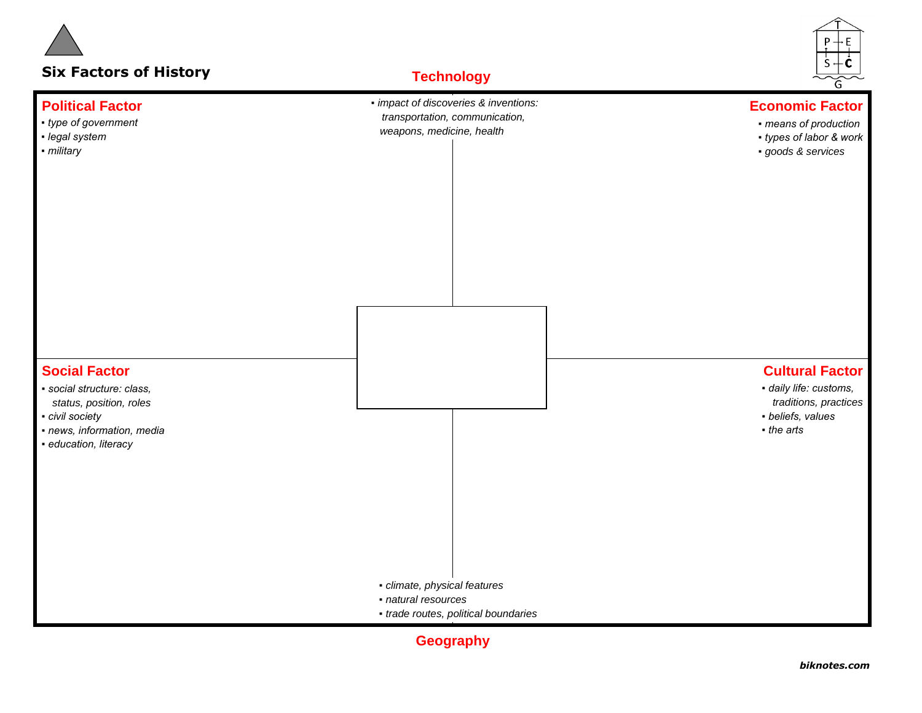

**Geography**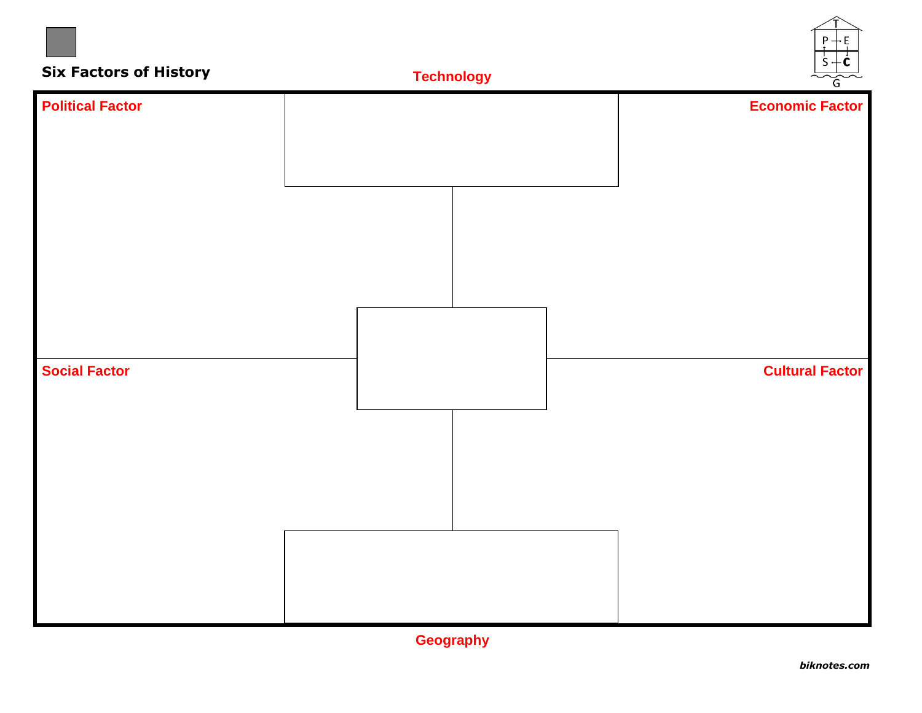

**Geography**